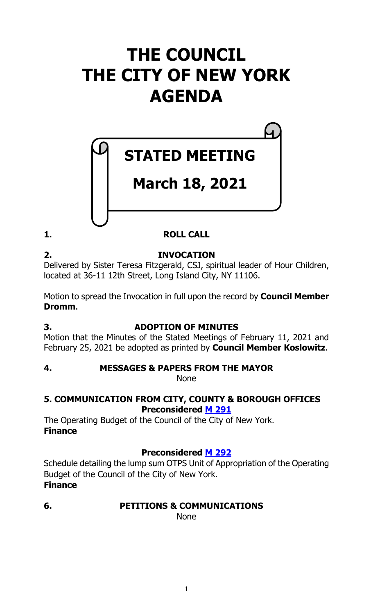# **THE COUNCIL THE CITY OF NEW YORK AGENDA**

# **STATED MEETING**

# **March 18, 2021**

## **1. ROLL CALL**

**2. INVOCATION**

Delivered by Sister Teresa Fitzgerald, CSJ, spiritual leader of Hour Children, located at 36-11 12th Street, Long Island City, NY 11106.

Motion to spread the Invocation in full upon the record by **Council Member Dromm**.

## **3. ADOPTION OF MINUTES**

Motion that the Minutes of the Stated Meetings of February 11, 2021 and February 25, 2021 be adopted as printed by **Council Member Koslowitz**.

## **4. MESSAGES & PAPERS FROM THE MAYOR**

None

## **5. COMMUNICATION FROM CITY, COUNTY & BOROUGH OFFICES Preconsidered M [291](https://legistar.council.nyc.gov/LegislationDetail.aspx?ID=4855225&GUID=FB6EE40C-06FF-4C6C-9B98-6A9B2D1BDCFE&Options=ID|Text|&Search=)**

The Operating Budget of the Council of the City of New York. **Finance**

## **Preconsidered M [292](https://legistar.council.nyc.gov/LegislationDetail.aspx?ID=4855226&GUID=DD9E04FF-B49F-4362-BF4C-401121672B83&Options=ID|Text|&Search=)**

Schedule detailing the lump sum OTPS Unit of Appropriation of the Operating Budget of the Council of the City of New York. **Finance**

## **6. PETITIONS & COMMUNICATIONS**

None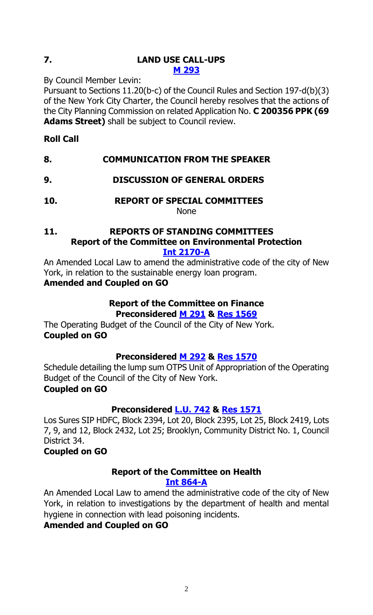## **7. LAND USE CALL-UPS M [293](https://legistar.council.nyc.gov/LegislationDetail.aspx?ID=4856774&GUID=1A8F3915-D464-4280-88CD-91E1FE7BA133&Options=ID|Text|&Search=)**

By Council Member Levin:

Pursuant to Sections 11.20(b-c) of the Council Rules and Section 197-d(b)(3) of the New York City Charter, the Council hereby resolves that the actions of the City Planning Commission on related Application No. **C 200356 PPK (69 Adams Street)** shall be subject to Council review.

## **Roll Call**

## **8. COMMUNICATION FROM THE SPEAKER**

- **9. DISCUSSION OF GENERAL ORDERS**
- **10. REPORT OF SPECIAL COMMITTEES**

#### None

#### **11. REPORTS OF STANDING COMMITTEES Report of the Committee on Environmental Protection [Int 2170-A](https://legistar.council.nyc.gov/LegislationDetail.aspx?ID=4729352&GUID=C80A3A89-D1AB-49F1-9E79-C465783A5718&Options=&Search=)**

An Amended Local Law to amend the administrative code of the city of New York, in relation to the sustainable energy loan program. **Amended and Coupled on GO**

## **Report of the Committee on Finance Preconsidered M [291](https://legistar.council.nyc.gov/LegislationDetail.aspx?ID=4855225&GUID=FB6EE40C-06FF-4C6C-9B98-6A9B2D1BDCFE&Options=ID|Text|&Search=) & Res [1569](https://legistar.council.nyc.gov/LegislationDetail.aspx?ID=4856852&GUID=3DEF9C3B-484C-4C36-AB91-71C0A38C0DD8&Options=ID|Text|&Search=)**

The Operating Budget of the Council of the City of New York. **Coupled on GO**

## **Preconsidered M [292](https://legistar.council.nyc.gov/LegislationDetail.aspx?ID=4855226&GUID=DD9E04FF-B49F-4362-BF4C-401121672B83&Options=ID|Text|&Search=) & Res [1570](https://legistar.council.nyc.gov/LegislationDetail.aspx?ID=4856853&GUID=A90BAD8C-1BEA-4DCE-8DE4-1DFD4BAB05E6&Options=ID|Text|&Search=)**

Schedule detailing the lump sum OTPS Unit of Appropriation of the Operating Budget of the Council of the City of New York.

## **Coupled on GO**

## **Preconsidered [L.U. 742](https://legistar.council.nyc.gov/LegislationDetail.aspx?ID=4855228&GUID=63EFAA4C-BF1A-4B91-B585-6154995969AF&Options=ID|Text|&Search=) & Res [1571](https://legistar.council.nyc.gov/LegislationDetail.aspx?ID=4856854&GUID=F5D52102-B6EC-400E-9116-1E96AACCFF00&Options=ID|Text|&Search=)**

Los Sures SIP HDFC, Block 2394, Lot 20, Block 2395, Lot 25, Block 2419, Lots 7, 9, and 12, Block 2432, Lot 25; Brooklyn, Community District No. 1, Council District 34.

## **Coupled on GO**

## **Report of the Committee on Health [Int 864-A](https://legistar.council.nyc.gov/LegislationDetail.aspx?ID=3498450&GUID=3BDB51B9-BA59-41E4-A98D-4333183182C3&Options=&Search=)**

An Amended Local Law to amend the administrative code of the city of New York, in relation to investigations by the department of health and mental hygiene in connection with lead poisoning incidents.

## **Amended and Coupled on GO**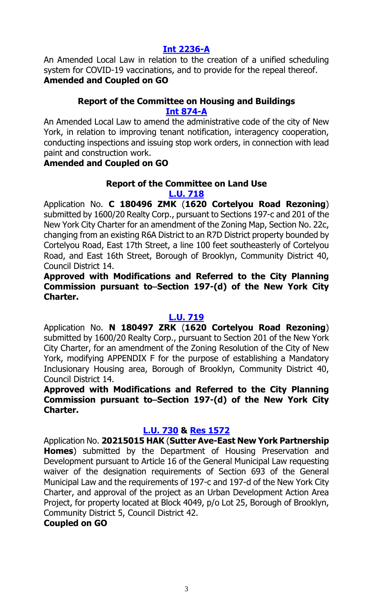## **[Int 2236-A](https://legistar.council.nyc.gov/LegislationDetail.aspx?ID=4794734&GUID=FEA00F7E-F9A6-4875-87C6-BD4E6033CA87&Options=&Search=)**

An Amended Local Law in relation to the creation of a unified scheduling system for COVID-19 vaccinations, and to provide for the repeal thereof. **Amended and Coupled on GO**

## **Report of the Committee on Housing and Buildings [Int 874-A](https://legistar.council.nyc.gov/LegislationDetail.aspx?ID=3498489&GUID=5AEDE1B2-26A1-4794-8400-C21C6017BA91&Options=&Search=)**

An Amended Local Law to amend the administrative code of the city of New York, in relation to improving tenant notification, interagency cooperation, conducting inspections and issuing stop work orders, in connection with lead paint and construction work.

## **Amended and Coupled on GO**

## **Report of the Committee on Land Use [L.U. 718](https://legistar.council.nyc.gov/LegislationDetail.aspx?ID=4754113&GUID=E642E029-740D-4616-B7EF-E20BDC13304D&Options=&Search=)**

Application No. **C 180496 ZMK** (**1620 Cortelyou Road Rezoning**) submitted by 1600/20 Realty Corp., pursuant to Sections 197-c and 201 of the New York City Charter for an amendment of the Zoning Map, Section No. 22c, changing from an existing R6A District to an R7D District property bounded by Cortelyou Road, East 17th Street, a line 100 feet southeasterly of Cortelyou Road, and East 16th Street, Borough of Brooklyn, Community District 40, Council District 14.

## **Approved with Modifications and Referred to the City Planning**  Commission pursuant to–Section 197-(d) of the New York City **Charter.**

## **[L.U. 719](https://legistar.council.nyc.gov/LegislationDetail.aspx?ID=4754170&GUID=79CA979C-70E4-49A9-BAF2-D6ACC303BD2E&Options=&Search=)**

Application No. **N 180497 ZRK** (**1620 Cortelyou Road Rezoning**) submitted by 1600/20 Realty Corp., pursuant to Section 201 of the New York City Charter, for an amendment of the Zoning Resolution of the City of New York, modifying APPENDIX F for the purpose of establishing a Mandatory Inclusionary Housing area, Borough of Brooklyn, Community District 40, Council District 14.

## **Approved with Modifications and Referred to the City Planning**  Commission pursuant to–Section 197-(d) of the New York City **Charter.**

## **[L.U. 730](https://legistar.council.nyc.gov/LegislationDetail.aspx?ID=4795480&GUID=73F2AF7F-174A-4B36-BB4B-FF12B720DE84&Options=&Search=) & Res [1572](https://legistar.council.nyc.gov/LegislationDetail.aspx?ID=4855261&GUID=A5AE64AB-5177-48EF-B87E-9743757E4F21&Options=ID|Text|&Search=)**

Application No. **20215015 HAK** (**Sutter Ave-East New York Partnership Homes**) submitted by the Department of Housing Preservation and Development pursuant to Article 16 of the General Municipal Law requesting waiver of the designation requirements of Section 693 of the General Municipal Law and the requirements of 197-c and 197-d of the New York City Charter, and approval of the project as an Urban Development Action Area Project, for property located at Block 4049, p/o Lot 25, Borough of Brooklyn, Community District 5, Council District 42.

## **Coupled on GO**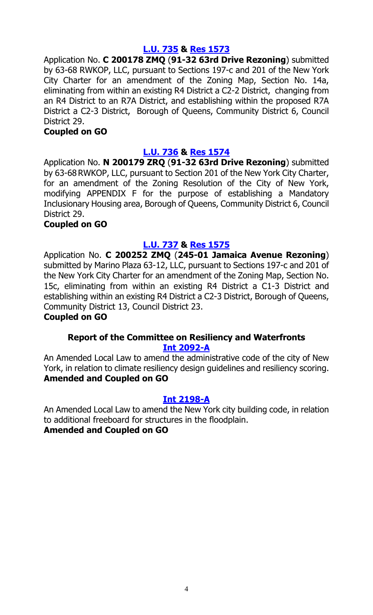## **[L.U. 735](https://legistar.council.nyc.gov/LegislationDetail.aspx?ID=4800347&GUID=6E3CDE08-5FED-4C9E-849C-0E706559F90D&Options=&Search=) & Res [1573](https://legistar.council.nyc.gov/LegislationDetail.aspx?ID=4855262&GUID=BBBFC2F4-8344-4D7F-AA17-E6BDFA9C19CB&Options=ID|Text|&Search=)**

Application No. **C 200178 ZMQ** (**91-32 63rd Drive Rezoning**) submitted by 63-68 RWKOP, LLC, pursuant to Sections 197-c and 201 of the New York City Charter for an amendment of the Zoning Map, Section No. 14a, eliminating from within an existing R4 District a C2-2 District, changing from an R4 District to an R7A District, and establishing within the proposed R7A District a C2-3 District, Borough of Queens, Community District 6, Council District 29.

## **Coupled on GO**

## **[L.U. 736](https://legistar.council.nyc.gov/LegislationDetail.aspx?ID=4800348&GUID=C3B3003A-5240-40ED-8B7E-FB451895BDA0&Options=&Search=) & Res [1574](https://legistar.council.nyc.gov/LegislationDetail.aspx?ID=4855263&GUID=39913481-A2FC-437A-907C-02F0022B07F1&Options=ID|Text|&Search=)**

Application No. **N 200179 ZRQ** (**91-32 63rd Drive Rezoning**) submitted by 63-68 RWKOP, LLC, pursuant to Section 201 of the New York City Charter, for an amendment of the Zoning Resolution of the City of New York, modifying APPENDIX F for the purpose of establishing a Mandatory Inclusionary Housing area, Borough of Queens, Community District 6, Council District 29.

## **Coupled on GO**

## **[L.U. 737](https://legistar.council.nyc.gov/LegislationDetail.aspx?ID=4800349&GUID=BD7F6DAD-E3EC-4090-973F-4E493E28606B&Options=&Search=) & Res [1575](https://legistar.council.nyc.gov/LegislationDetail.aspx?ID=4855264&GUID=180759A8-2E79-4988-8D3B-28A3CD8603AD&Options=ID|Text|&Search=)**

Application No. **C 200252 ZMQ** (**245-01 Jamaica Avenue Rezoning**) submitted by Marino Plaza 63-12, LLC, pursuant to Sections 197-c and 201 of the New York City Charter for an amendment of the Zoning Map, Section No. 15c, eliminating from within an existing R4 District a C1-3 District and establishing within an existing R4 District a C2-3 District, Borough of Queens, Community District 13, Council District 23.

## **Coupled on GO**

## **Report of the Committee on Resiliency and Waterfronts [Int 2092-A](https://legistar.council.nyc.gov/LegislationDetail.aspx?ID=4648590&GUID=F7CCBD21-44D7-4280-AB54-3D419D2AE033&Options=&Search=)**

An Amended Local Law to amend the administrative code of the city of New York, in relation to climate resiliency design guidelines and resiliency scoring. **Amended and Coupled on GO**

## **[Int 2198-A](https://legistar.council.nyc.gov/LegislationDetail.aspx?ID=4738815&GUID=75A96111-17B8-4047-B2DF-D6CFCFB71022&Options=&Search=)**

An Amended Local Law to amend the New York city building code, in relation to additional freeboard for structures in the floodplain. **Amended and Coupled on GO**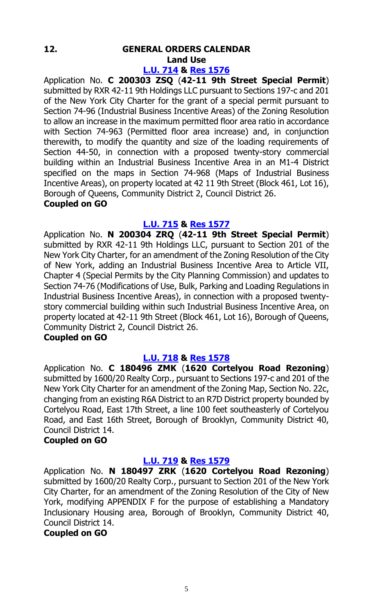## **12. GENERAL ORDERS CALENDAR Land Use**

## **[L.U. 714](https://legistar.council.nyc.gov/LegislationDetail.aspx?ID=4743805&GUID=91DAF792-5431-49AA-929D-9D1D51DDD81F&Options=&Search=) & Res [1576](https://legistar.council.nyc.gov/LegislationDetail.aspx?ID=4807411&GUID=02FBDDFE-7BF6-4FAE-9688-6FD3F948855D&Options=ID|Text|&Search=)**

Application No. **C 200303 ZSQ** (**42-11 9th Street Special Permit**) submitted by RXR 42-11 9th Holdings LLC pursuant to Sections 197-c and 201 of the New York City Charter for the grant of a special permit pursuant to Section 74-96 (Industrial Business Incentive Areas) of the Zoning Resolution to allow an increase in the maximum permitted floor area ratio in accordance with Section 74-963 (Permitted floor area increase) and, in conjunction therewith, to modify the quantity and size of the loading requirements of Section 44-50, in connection with a proposed twenty-story commercial building within an Industrial Business Incentive Area in an M1-4 District specified on the maps in Section 74-968 (Maps of Industrial Business Incentive Areas), on property located at 42 11 9th Street (Block 461, Lot 16), Borough of Queens, Community District 2, Council District 26.

## **Coupled on GO**

## **[L.U. 715](https://legistar.council.nyc.gov/LegislationDetail.aspx?ID=4743806&GUID=256C791F-173E-4255-A3EF-1367E6D6CD20&Options=&Search=) & Res [1577](https://legistar.council.nyc.gov/LegislationDetail.aspx?ID=4807412&GUID=A8610EA2-812A-465F-82A8-8CA90525588B&Options=ID|Text|&Search=)**

Application No. **N 200304 ZRQ** (**42-11 9th Street Special Permit**) submitted by RXR 42-11 9th Holdings LLC, pursuant to Section 201 of the New York City Charter, for an amendment of the Zoning Resolution of the City of New York, adding an Industrial Business Incentive Area to Article VII, Chapter 4 (Special Permits by the City Planning Commission) and updates to Section 74-76 (Modifications of Use, Bulk, Parking and Loading Regulations in Industrial Business Incentive Areas), in connection with a proposed twentystory commercial building within such Industrial Business Incentive Area, on property located at 42-11 9th Street (Block 461, Lot 16), Borough of Queens, Community District 2, Council District 26.

## **Coupled on GO**

## **[L.U. 718](https://legistar.council.nyc.gov/LegislationDetail.aspx?ID=4754113&GUID=E642E029-740D-4616-B7EF-E20BDC13304D&Options=&Search=) & Res [1578](https://legistar.council.nyc.gov/LegislationDetail.aspx?ID=4855259&GUID=C7084851-6E92-407E-942D-2573F57E10B9&Options=ID|Text|&Search=)**

Application No. **C 180496 ZMK** (**1620 Cortelyou Road Rezoning**) submitted by 1600/20 Realty Corp., pursuant to Sections 197-c and 201 of the New York City Charter for an amendment of the Zoning Map, Section No. 22c, changing from an existing R6A District to an R7D District property bounded by Cortelyou Road, East 17th Street, a line 100 feet southeasterly of Cortelyou Road, and East 16th Street, Borough of Brooklyn, Community District 40, Council District 14.

## **Coupled on GO**

## **[L.U. 719](https://legistar.council.nyc.gov/LegislationDetail.aspx?ID=4754170&GUID=79CA979C-70E4-49A9-BAF2-D6ACC303BD2E&Options=&Search=) & [Res 1579](https://legistar.council.nyc.gov/LegislationDetail.aspx?ID=4855260&GUID=36D6AFB5-A372-4C00-8E5E-929EFE0D4AFB&Options=ID|Text|&Search=)**

Application No. **N 180497 ZRK** (**1620 Cortelyou Road Rezoning**) submitted by 1600/20 Realty Corp., pursuant to Section 201 of the New York City Charter, for an amendment of the Zoning Resolution of the City of New York, modifying APPENDIX F for the purpose of establishing a Mandatory Inclusionary Housing area, Borough of Brooklyn, Community District 40, Council District 14.

## **Coupled on GO**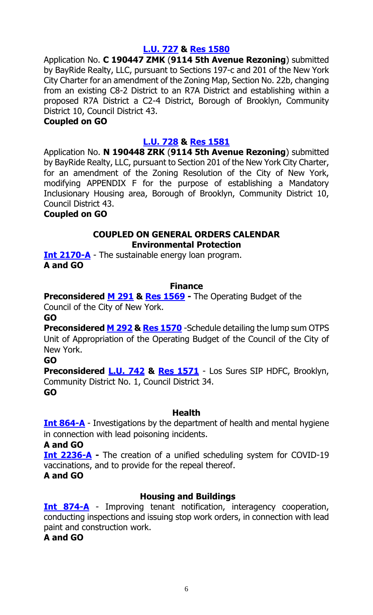## **[L.U. 727](https://legistar.council.nyc.gov/LegislationDetail.aspx?ID=4793033&GUID=202884D9-D81A-4C69-B829-6D893CD41CB6&Options=&Search=) & Res [1580](https://legistar.council.nyc.gov/LegislationDetail.aspx?ID=4807426&GUID=A2874809-BE06-4321-A5E6-E7515C4094F9&Options=ID|Text|&Search=)**

Application No. **C 190447 ZMK** (**9114 5th Avenue Rezoning**) submitted by BayRide Realty, LLC, pursuant to Sections 197-c and 201 of the New York City Charter for an amendment of the Zoning Map, Section No. 22b, changing from an existing C8-2 District to an R7A District and establishing within a proposed R7A District a C2-4 District, Borough of Brooklyn, Community District 10, Council District 43.

#### **Coupled on GO**

## **[L.U. 728](https://legistar.council.nyc.gov/LegislationDetail.aspx?ID=4793034&GUID=4878CD45-0368-4719-93B5-B5ED72E0DEEE&Options=&Search=) & Res [1581](https://legistar.council.nyc.gov/LegislationDetail.aspx?ID=4807427&GUID=040C33D2-B3ED-4043-B461-145FD92F0AF5&Options=ID|Text|&Search=)**

Application No. **N 190448 ZRK** (**9114 5th Avenue Rezoning**) submitted by BayRide Realty, LLC, pursuant to Section 201 of the New York City Charter, for an amendment of the Zoning Resolution of the City of New York, modifying APPENDIX F for the purpose of establishing a Mandatory Inclusionary Housing area, Borough of Brooklyn, Community District 10, Council District 43.

## **Coupled on GO**

## **COUPLED ON GENERAL ORDERS CALENDAR Environmental Protection**

**[Int 2170-A](https://legistar.council.nyc.gov/LegislationDetail.aspx?ID=4729352&GUID=C80A3A89-D1AB-49F1-9E79-C465783A5718&Options=&Search=)** - The sustainable energy loan program. **A and GO**

## **Finance**

**Preconsidered M [291](https://legistar.council.nyc.gov/LegislationDetail.aspx?ID=4855225&GUID=FB6EE40C-06FF-4C6C-9B98-6A9B2D1BDCFE&Options=ID|Text|&Search=) & [Res 1569](https://legistar.council.nyc.gov/LegislationDetail.aspx?ID=4856852&GUID=3DEF9C3B-484C-4C36-AB91-71C0A38C0DD8&Options=ID|Text|&Search=) -** The Operating Budget of the Council of the City of New York.

**GO**

**Preconsidered M [292](https://legistar.council.nyc.gov/LegislationDetail.aspx?ID=4855226&GUID=DD9E04FF-B49F-4362-BF4C-401121672B83&Options=ID|Text|&Search=) & [Res 1570](https://legistar.council.nyc.gov/LegislationDetail.aspx?ID=4856853&GUID=A90BAD8C-1BEA-4DCE-8DE4-1DFD4BAB05E6&Options=ID|Text|&Search=)** -Schedule detailing the lump sum OTPS Unit of Appropriation of the Operating Budget of the Council of the City of New York.

**GO**

**Preconsidered [L.U. 742](https://legistar.council.nyc.gov/LegislationDetail.aspx?ID=4855228&GUID=63EFAA4C-BF1A-4B91-B585-6154995969AF&Options=ID|Text|&Search=) & [Res 1571](https://legistar.council.nyc.gov/LegislationDetail.aspx?ID=4856854&GUID=F5D52102-B6EC-400E-9116-1E96AACCFF00&Options=ID|Text|&Search=)** - Los Sures SIP HDFC, Brooklyn, Community District No. 1, Council District 34. **GO**

## **Health**

**[Int 864-A](https://legistar.council.nyc.gov/LegislationDetail.aspx?ID=3498450&GUID=3BDB51B9-BA59-41E4-A98D-4333183182C3&Options=&Search=)** - Investigations by the department of health and mental hygiene in connection with lead poisoning incidents.

#### **A and GO**

**[Int 2236-A](https://legistar.council.nyc.gov/LegislationDetail.aspx?ID=4794734&GUID=FEA00F7E-F9A6-4875-87C6-BD4E6033CA87&Options=&Search=) -** The creation of a unified scheduling system for COVID-19 vaccinations, and to provide for the repeal thereof. **A and GO**

## **Housing and Buildings**

**[Int 874-A](https://legistar.council.nyc.gov/LegislationDetail.aspx?ID=3498489&GUID=5AEDE1B2-26A1-4794-8400-C21C6017BA91&Options=&Search=)** - Improving tenant notification, interagency cooperation, conducting inspections and issuing stop work orders, in connection with lead paint and construction work.

**A and GO**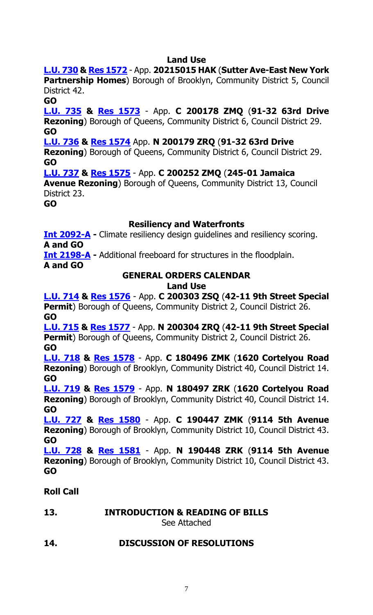## **Land Use**

**[L.U. 730](https://legistar.council.nyc.gov/LegislationDetail.aspx?ID=4795480&GUID=73F2AF7F-174A-4B36-BB4B-FF12B720DE84&Options=&Search=) & Res [1572](https://legistar.council.nyc.gov/LegislationDetail.aspx?ID=4855261&GUID=A5AE64AB-5177-48EF-B87E-9743757E4F21&Options=ID|Text|&Search=)** - App. **20215015 HAK** (**Sutter Ave-East New York Partnership Homes**) Borough of Brooklyn, Community District 5, Council District 42.

**GO**

**[L.U. 735](https://legistar.council.nyc.gov/LegislationDetail.aspx?ID=4800347&GUID=6E3CDE08-5FED-4C9E-849C-0E706559F90D&Options=&Search=) & Res [1573](https://legistar.council.nyc.gov/LegislationDetail.aspx?ID=4855262&GUID=BBBFC2F4-8344-4D7F-AA17-E6BDFA9C19CB&Options=ID|Text|&Search=)** - App. **C 200178 ZMQ** (**91-32 63rd Drive Rezoning**) Borough of Queens, Community District 6, Council District 29. **GO**

**[L.U. 736](https://legistar.council.nyc.gov/LegislationDetail.aspx?ID=4800348&GUID=C3B3003A-5240-40ED-8B7E-FB451895BDA0&Options=&Search=) & Res [1574](https://legistar.council.nyc.gov/LegislationDetail.aspx?ID=4855263&GUID=39913481-A2FC-437A-907C-02F0022B07F1&Options=ID|Text|&Search=)** App. **N 200179 ZRQ** (**91-32 63rd Drive** 

**Rezoning**) Borough of Queens, Community District 6, Council District 29. **GO**

**[L.U. 737](https://legistar.council.nyc.gov/LegislationDetail.aspx?ID=4800349&GUID=BD7F6DAD-E3EC-4090-973F-4E493E28606B&Options=&Search=) & Res [1575](https://legistar.council.nyc.gov/LegislationDetail.aspx?ID=4855264&GUID=180759A8-2E79-4988-8D3B-28A3CD8603AD&Options=ID|Text|&Search=)** - App. **C 200252 ZMQ** (**245-01 Jamaica** 

**Avenue Rezoning**) Borough of Queens, Community District 13, Council District 23.

**GO**

## **Resiliency and Waterfronts**

**[Int 2092-A](https://legistar.council.nyc.gov/LegislationDetail.aspx?ID=4648590&GUID=F7CCBD21-44D7-4280-AB54-3D419D2AE033&Options=&Search=) -** Climate resiliency design guidelines and resiliency scoring. **A and GO**

**[Int 2198-A](https://legistar.council.nyc.gov/LegislationDetail.aspx?ID=4738815&GUID=75A96111-17B8-4047-B2DF-D6CFCFB71022&Options=&Search=) -** Additional freeboard for structures in the floodplain. **A and GO**

#### **GENERAL ORDERS CALENDAR Land Use**

**[L.U. 714](https://legistar.council.nyc.gov/LegislationDetail.aspx?ID=4743805&GUID=91DAF792-5431-49AA-929D-9D1D51DDD81F&Options=&Search=) & Res [1576](https://legistar.council.nyc.gov/LegislationDetail.aspx?ID=4807411&GUID=02FBDDFE-7BF6-4FAE-9688-6FD3F948855D&Options=ID|Text|&Search=)** - App. **C 200303 ZSQ** (**42-11 9th Street Special Permit**) Borough of Queens, Community District 2, Council District 26. **GO**

**[L.U. 715](https://legistar.council.nyc.gov/LegislationDetail.aspx?ID=4743806&GUID=256C791F-173E-4255-A3EF-1367E6D6CD20&Options=&Search=) & Res [1577](https://legistar.council.nyc.gov/LegislationDetail.aspx?ID=4807412&GUID=A8610EA2-812A-465F-82A8-8CA90525588B&Options=ID|Text|&Search=)** - App. **N 200304 ZRQ** (**42-11 9th Street Special Permit**) Borough of Queens, Community District 2, Council District 26. **GO**

**[L.U. 718](https://legistar.council.nyc.gov/LegislationDetail.aspx?ID=4754113&GUID=E642E029-740D-4616-B7EF-E20BDC13304D&Options=&Search=) & Res [1578](https://legistar.council.nyc.gov/LegislationDetail.aspx?ID=4855259&GUID=C7084851-6E92-407E-942D-2573F57E10B9&Options=ID|Text|&Search=)** - App. **C 180496 ZMK** (**1620 Cortelyou Road Rezoning**) Borough of Brooklyn, Community District 40, Council District 14. **GO**

**[L.U. 719](https://legistar.council.nyc.gov/LegislationDetail.aspx?ID=4754170&GUID=79CA979C-70E4-49A9-BAF2-D6ACC303BD2E&Options=&Search=) & [Res 1579](https://legistar.council.nyc.gov/LegislationDetail.aspx?ID=4855260&GUID=36D6AFB5-A372-4C00-8E5E-929EFE0D4AFB&Options=ID|Text|&Search=)** - App. **N 180497 ZRK** (**1620 Cortelyou Road Rezoning**) Borough of Brooklyn, Community District 40, Council District 14. **GO**

**[L.U. 727](https://legistar.council.nyc.gov/LegislationDetail.aspx?ID=4793033&GUID=202884D9-D81A-4C69-B829-6D893CD41CB6&Options=&Search=) & Res [1580](https://legistar.council.nyc.gov/LegislationDetail.aspx?ID=4807426&GUID=A2874809-BE06-4321-A5E6-E7515C4094F9&Options=ID|Text|&Search=)** - App. **C 190447 ZMK** (**9114 5th Avenue Rezoning**) Borough of Brooklyn, Community District 10, Council District 43. **GO**

**[L.U. 728](https://legistar.council.nyc.gov/LegislationDetail.aspx?ID=4793034&GUID=4878CD45-0368-4719-93B5-B5ED72E0DEEE&Options=&Search=) & Res [1581](https://legistar.council.nyc.gov/LegislationDetail.aspx?ID=4807427&GUID=040C33D2-B3ED-4043-B461-145FD92F0AF5&Options=ID|Text|&Search=)** - App. **N 190448 ZRK** (**9114 5th Avenue Rezoning**) Borough of Brooklyn, Community District 10, Council District 43. **GO**

## **Roll Call**

**13. INTRODUCTION & READING OF BILLS** See Attached

## **14. DISCUSSION OF RESOLUTIONS**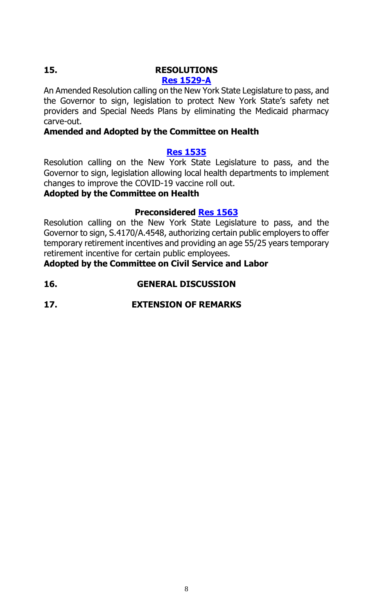## **15. RESOLUTIONS**

## **[Res 1529-A](https://legistar.council.nyc.gov/LegislationDetail.aspx?ID=4743796&GUID=DA72D1E1-9CBB-4E88-9D59-3ED8633186A9&Options=&Search=)**

An Amended Resolution calling on the New York State Legislature to pass, and the Governor to sign, legislation to protect New York State's safety net providers and Special Needs Plans by eliminating the Medicaid pharmacy carve-out.

## **Amended and Adopted by the Committee on Health**

## **[Res 1535](https://legistar.council.nyc.gov/LegislationDetail.aspx?ID=4766863&GUID=4465E495-41C7-475F-B42A-E4E9EB9CDD99&Options=&Search=)**

Resolution calling on the New York State Legislature to pass, and the Governor to sign, legislation allowing local health departments to implement changes to improve the COVID-19 vaccine roll out.

## **Adopted by the Committee on Health**

## **Preconsidered Res [1563](https://legistar.council.nyc.gov/LegislationDetail.aspx?ID=4855227&GUID=DCF863B9-9D68-43BF-B449-1A4A9CC95ACA&Options=ID|Text|&Search=)**

Resolution calling on the New York State Legislature to pass, and the Governor to sign, S.4170/A.4548, authorizing certain public employers to offer temporary retirement incentives and providing an age 55/25 years temporary retirement incentive for certain public employees.

**Adopted by the Committee on Civil Service and Labor**

## **16. GENERAL DISCUSSION**

**17. EXTENSION OF REMARKS**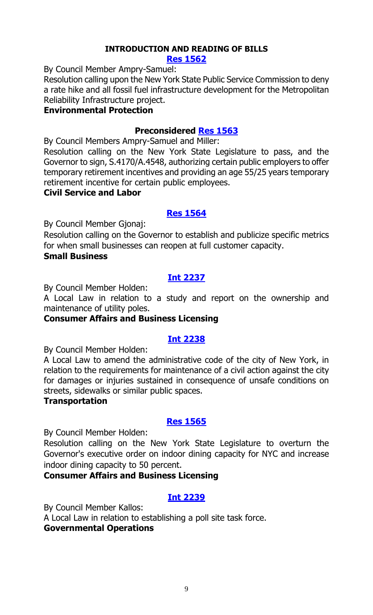#### **INTRODUCTION AND READING OF BILLS [Res 1562](https://legistar.council.nyc.gov/LegislationDetail.aspx?ID=4856753&GUID=5DD20438-43C9-4F06-9C01-837F222ED230&Options=ID|Text|&Search=)**

By Council Member Ampry-Samuel:

Resolution calling upon the New York State Public Service Commission to deny a rate hike and all fossil fuel infrastructure development for the Metropolitan Reliability Infrastructure project.

## **Environmental Protection**

## **Preconsidered [Res 1563](https://legistar.council.nyc.gov/LegislationDetail.aspx?ID=4855227&GUID=DCF863B9-9D68-43BF-B449-1A4A9CC95ACA&Options=ID|Text|&Search=)**

By Council Members Ampry-Samuel and Miller:

Resolution calling on the New York State Legislature to pass, and the Governor to sign, S.4170/A.4548, authorizing certain public employers to offer temporary retirement incentives and providing an age 55/25 years temporary retirement incentive for certain public employees.

## **Civil Service and Labor**

## **[Res 1564](https://legistar.council.nyc.gov/LegislationDetail.aspx?ID=4856754&GUID=F329DB8E-4D24-4A23-BE23-907FB09DBAE8&Options=ID|Text|&Search=)**

By Council Member Gjonaj:

Resolution calling on the Governor to establish and publicize specific metrics for when small businesses can reopen at full customer capacity. **Small Business**

## **[Int 2237](https://legistar.council.nyc.gov/LegislationDetail.aspx?ID=4856758&GUID=48261B2C-EBE3-4044-ACF5-B185CAB1958B&Options=ID|Text|&Search=)**

By Council Member Holden:

A Local Law in relation to a study and report on the ownership and maintenance of utility poles.

## **Consumer Affairs and Business Licensing**

## **[Int 2238](https://legistar.council.nyc.gov/LegislationDetail.aspx?ID=4856755&GUID=2D0B708D-299C-4B5B-9133-455CE46F5CE2&Options=ID|Text|&Search=)**

By Council Member Holden:

A Local Law to amend the administrative code of the city of New York, in relation to the requirements for maintenance of a civil action against the city for damages or injuries sustained in consequence of unsafe conditions on streets, sidewalks or similar public spaces.

#### **Transportation**

## **[Res 1565](https://legistar.council.nyc.gov/LegislationDetail.aspx?ID=4856759&GUID=9D0A98B1-8F4F-457A-8FDB-86F0EB923CA1&Options=ID|Text|&Search=)**

By Council Member Holden:

Resolution calling on the New York State Legislature to overturn the Governor's executive order on indoor dining capacity for NYC and increase indoor dining capacity to 50 percent.

## **Consumer Affairs and Business Licensing**

## **[Int 2239](https://legistar.council.nyc.gov/LegislationDetail.aspx?ID=4856752&GUID=B4BA75B6-709A-4E9F-A636-1CA44CAF0E18&Options=ID|Text|&Search=)**

By Council Member Kallos:

A Local Law in relation to establishing a poll site task force.

## **Governmental Operations**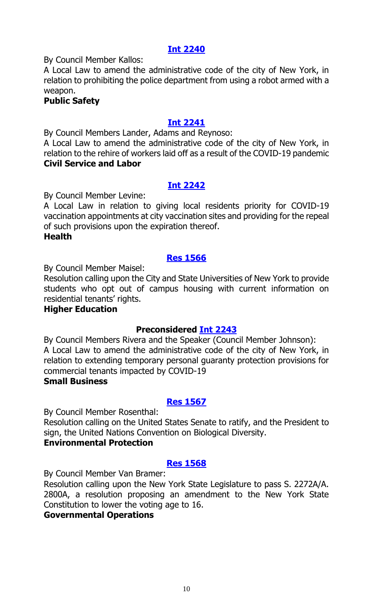## **[Int 2240](https://legistar.council.nyc.gov/LegislationDetail.aspx?ID=4856756&GUID=716C2D7E-ED51-4C9E-9312-AB9529B6C812&Options=ID|Text|&Search=)**

By Council Member Kallos:

A Local Law to amend the administrative code of the city of New York, in relation to prohibiting the police department from using a robot armed with a weapon.

## **Public Safety**

## **[Int 2241](https://legistar.council.nyc.gov/LegislationDetail.aspx?ID=4856751&GUID=901F6F43-C79E-4C67-B641-5DFE9D16D088&Options=ID|Text|&Search=)**

By Council Members Lander, Adams and Reynoso:

A Local Law to amend the administrative code of the city of New York, in relation to the rehire of workers laid off as a result of the COVID-19 pandemic **Civil Service and Labor**

## **[Int 2242](https://legistar.council.nyc.gov/LegislationDetail.aspx?ID=4856760&GUID=774E081F-F4AC-4D35-BF8E-DDE03487FB9D&Options=ID|Text|&Search=)**

By Council Member Levine:

A Local Law in relation to giving local residents priority for COVID-19 vaccination appointments at city vaccination sites and providing for the repeal of such provisions upon the expiration thereof.

## **Health**

## **[Res 1566](https://legistar.council.nyc.gov/LegislationDetail.aspx?ID=4856757&GUID=DCB10C8B-D1A6-4163-9FD6-A8476296C39B&Options=ID|Text|&Search=)**

By Council Member Maisel:

Resolution calling upon the City and State Universities of New York to provide students who opt out of campus housing with current information on residential tenants' rights.

## **Higher Education**

## **Preconsidered [Int 2243](https://legistar.council.nyc.gov/LegislationDetail.aspx?ID=4835164&GUID=3320048A-1984-4A1D-9EB5-71A095F81F17&Options=ID|Text|&Search=)**

By Council Members Rivera and the Speaker (Council Member Johnson): A Local Law to amend the administrative code of the city of New York, in relation to extending temporary personal guaranty protection provisions for commercial tenants impacted by COVID-19

#### **Small Business**

## **[Res 1567](https://legistar.council.nyc.gov/LegislationDetail.aspx?ID=4856773&GUID=4C6079E9-12C8-4295-B638-18D2E8B378CA&Options=ID|Text|&Search=)**

By Council Member Rosenthal:

Resolution calling on the United States Senate to ratify, and the President to sign, the United Nations Convention on Biological Diversity.

## **Environmental Protection**

## **[Res 1568](https://legistar.council.nyc.gov/LegislationDetail.aspx?ID=4856772&GUID=29F7B66B-F939-442A-A9A5-AA2CD8F4923B&Options=ID|Text|&Search=)**

By Council Member Van Bramer:

Resolution calling upon the New York State Legislature to pass S. 2272A/A. 2800A, a resolution proposing an amendment to the New York State Constitution to lower the voting age to 16.

## **Governmental Operations**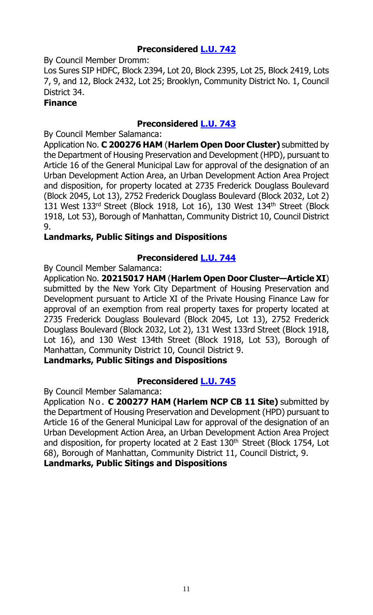## **Preconsidered [L.U. 742](https://legistar.council.nyc.gov/LegislationDetail.aspx?ID=4855228&GUID=63EFAA4C-BF1A-4B91-B585-6154995969AF&Options=ID|Text|&Search=)**

By Council Member Dromm:

Los Sures SIP HDFC, Block 2394, Lot 20, Block 2395, Lot 25, Block 2419, Lots 7, 9, and 12, Block 2432, Lot 25; Brooklyn, Community District No. 1, Council District 34.

## **Finance**

## **Preconsidered [L.U. 743](https://legistar.council.nyc.gov/LegislationDetail.aspx?ID=4814724&GUID=15A481CB-677B-4178-8B89-A05A1FA89403&Options=ID|Text|&Search=)**

By Council Member Salamanca:

Application No. **C 200276 HAM** (**Harlem Open Door Cluster)** submitted by the Department of Housing Preservation and Development (HPD), pursuant to Article 16 of the General Municipal Law for approval of the designation of an Urban Development Action Area, an Urban Development Action Area Project and disposition, for property located at 2735 Frederick Douglass Boulevard (Block 2045, Lot 13), 2752 Frederick Douglass Boulevard (Block 2032, Lot 2) 131 West 133rd Street (Block 1918, Lot 16), 130 West 134<sup>th</sup> Street (Block 1918, Lot 53), Borough of Manhattan, Community District 10, Council District 9.

## **Landmarks, Public Sitings and Dispositions**

## **Preconsidered [L.U. 744](https://legistar.council.nyc.gov/LegislationDetail.aspx?ID=4814725&GUID=A67129AB-C89C-4C2D-8D74-9F7FED131A38&Options=ID|Text|&Search=)**

By Council Member Salamanca:

Application No. **20215017 HAM** (**Harlem Open Door Cluster—Article XI**) submitted by the New York City Department of Housing Preservation and Development pursuant to Article XI of the Private Housing Finance Law for approval of an exemption from real property taxes for property located at 2735 Frederick Douglass Boulevard (Block 2045, Lot 13), 2752 Frederick Douglass Boulevard (Block 2032, Lot 2), 131 West 133rd Street (Block 1918, Lot 16), and 130 West 134th Street (Block 1918, Lot 53), Borough of Manhattan, Community District 10, Council District 9.

**Landmarks, Public Sitings and Dispositions**

## **Preconsidered [L.U. 745](https://legistar.council.nyc.gov/LegislationDetail.aspx?ID=4814726&GUID=D360834F-3D42-4D81-861E-FC10C78EF279&Options=ID|Text|&Search=)**

By Council Member Salamanca:

Application No. **C 200277 HAM (Harlem NCP CB 11 Site)** submitted by the Department of Housing Preservation and Development (HPD) pursuant to Article 16 of the General Municipal Law for approval of the designation of an Urban Development Action Area, an Urban Development Action Area Project and disposition, for property located at 2 East 130<sup>th</sup> Street (Block 1754, Lot 68), Borough of Manhattan, Community District 11, Council District, 9. **Landmarks, Public Sitings and Dispositions**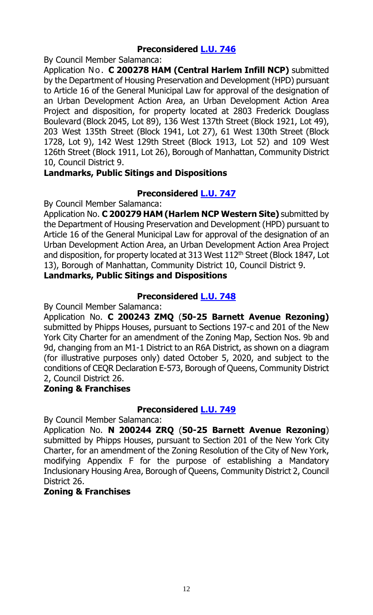## **Preconsidered [L.U. 746](https://legistar.council.nyc.gov/LegislationDetail.aspx?ID=4814727&GUID=9DFBF0F3-1279-48D9-AAC2-F2F77E090C4E&Options=ID|Text|&Search=)**

By Council Member Salamanca:

Application No. **C 200278 HAM (Central Harlem Infill NCP)** submitted by the Department of Housing Preservation and Development (HPD) pursuant to Article 16 of the General Municipal Law for approval of the designation of an Urban Development Action Area, an Urban Development Action Area Project and disposition, for property located at 2803 Frederick Douglass Boulevard (Block 2045, Lot 89), 136 West 137th Street (Block 1921, Lot 49), 203 West 135th Street (Block 1941, Lot 27), 61 West 130th Street (Block 1728, Lot 9), 142 West 129th Street (Block 1913, Lot 52) and 109 West 126th Street (Block 1911, Lot 26), Borough of Manhattan, Community District 10, Council District 9.

## **Landmarks, Public Sitings and Dispositions**

## **Preconsidered [L.U. 747](https://legistar.council.nyc.gov/LegislationDetail.aspx?ID=4814728&GUID=9FA1CD5B-7154-4603-834B-8AB7C2F67539&Options=ID|Text|&Search=)**

By Council Member Salamanca:

Application No. **C 200279 HAM (Harlem NCP Western Site)** submitted by the Department of Housing Preservation and Development (HPD) pursuant to Article 16 of the General Municipal Law for approval of the designation of an Urban Development Action Area, an Urban Development Action Area Project and disposition, for property located at 313 West 112<sup>th</sup> Street (Block 1847, Lot 13), Borough of Manhattan, Community District 10, Council District 9.

## **Landmarks, Public Sitings and Dispositions**

## **Preconsidered [L.U. 748](https://legistar.council.nyc.gov/LegislationDetail.aspx?ID=4812960&GUID=16C978C3-7D3F-4C4E-AB35-8342CE45D8CC&Options=ID|Text|&Search=)**

By Council Member Salamanca:

Application No. **C 200243 ZMQ** (**50-25 Barnett Avenue Rezoning)** submitted by Phipps Houses, pursuant to Sections 197-c and 201 of the New York City Charter for an amendment of the Zoning Map, Section Nos. 9b and 9d, changing from an M1-1 District to an R6A District, as shown on a diagram (for illustrative purposes only) dated October 5, 2020, and subject to the conditions of CEQR Declaration E-573, Borough of Queens, Community District 2, Council District 26.

## **Zoning & Franchises**

## **Preconsidered [L.U. 749](https://legistar.council.nyc.gov/LegislationDetail.aspx?ID=4812961&GUID=484ECF4A-A307-4E56-907E-73AD5FC7512B&Options=ID|Text|&Search=)**

By Council Member Salamanca:

Application No. **N 200244 ZRQ** (**50-25 Barnett Avenue Rezoning**) submitted by Phipps Houses, pursuant to Section 201 of the New York City Charter, for an amendment of the Zoning Resolution of the City of New York, modifying Appendix F for the purpose of establishing a Mandatory Inclusionary Housing Area, Borough of Queens, Community District 2, Council District 26.

## **Zoning & Franchises**